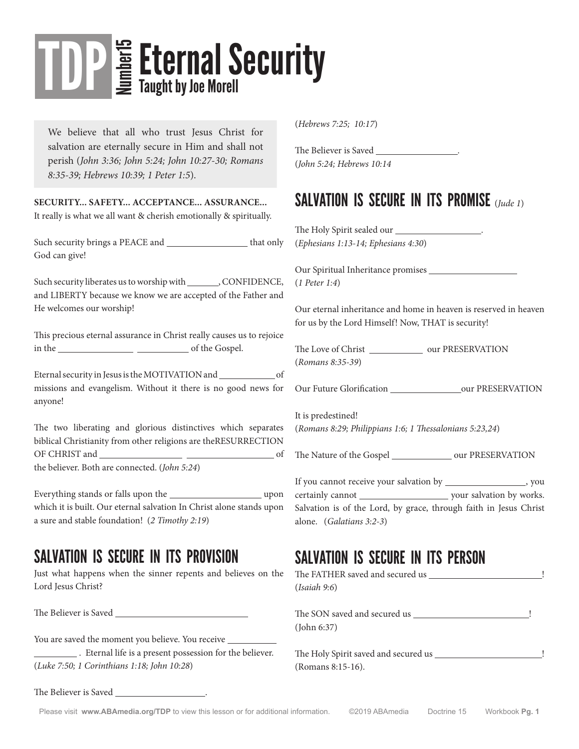# **E** Eternal Security TDP

We believe that all who trust Jesus Christ for salvation are eternally secure in Him and shall not perish (*John 3:36; John 5:24; John 10:27-30; Romans 8:35-39; Hebrews 10:39; 1 Peter 1:5*).

**SECURITY... SAFETY... ACCEPTANCE... ASSURANCE...** It really is what we all want & cherish emotionally & spiritually.

Such security brings a PEACE and that only God can give!

Such security liberates us to worship with , CONFIDENCE, and LIBERTY because we know we are accepted of the Father and He welcomes our worship!

This precious eternal assurance in Christ really causes us to rejoice in the of the Gospel.

Eternal security in Jesus is the MOTIVATION and \_\_\_\_\_\_\_\_\_\_\_\_\_\_\_ of missions and evangelism. Without it there is no good news for anyone!

The two liberating and glorious distinctives which separates biblical Christianity from other religions are theRESURRECTION OF CHRIST and of

the believer. Both are connected. (*John 5:24*)

Everything stands or falls upon the uncontrolled upon which it is built. Our eternal salvation In Christ alone stands upon a sure and stable foundation! (*2 Timothy 2:19*)

#### SALVATION IS SECURE IN ITS PROVISION

Just what happens when the sinner repents and believes on the Lord Jesus Christ?

The Believer is Saved

You are saved the moment you believe. You receive

**Example 1** Eternal life is a present possession for the believer. (*Luke 7:50; 1 Corinthians 1:18; John 10:28*)

(*Hebrews 7:25; 10:17*)

The Believer is Saved \_\_ (*John 5:24; Hebrews 10:14*

#### SALVATION IS SECURE IN ITS PROMISE (*Jude 1*)

The Holy Spirit sealed our \_\_ (*Ephesians 1:13-14; Ephesians 4:30*)

Our Spiritual Inheritance promises (*1 Peter 1:4*)

Our eternal inheritance and home in heaven is reserved in heaven for us by the Lord Himself! Now, THAT is security!

The Love of Christ \_\_\_\_\_\_\_\_\_\_\_\_\_\_\_\_\_\_ our PRESERVATION (*Romans 8:35-39*)

Our Future Glorification our PRESERVATION

It is predestined! (*Romans 8:29; Philippians 1:6; 1 Thessalonians 5:23,24*)

The Nature of the Gospel \_\_\_\_\_\_\_\_\_\_\_\_\_\_\_ our PRESERVATION

If you cannot receive your salvation by \_\_\_\_\_\_\_\_\_\_\_\_\_\_\_\_\_\_, you certainly cannot your salvation by works. Salvation is of the Lord, by grace, through faith in Jesus Christ alone. (*Galatians 3:2-3*)

#### SALVATION IS SECURE IN ITS PERSON

| (Isaiah 9:6)      |  |
|-------------------|--|
| (John 6:37)       |  |
|                   |  |
| (Romans 8:15-16). |  |

The Believer is Saved .